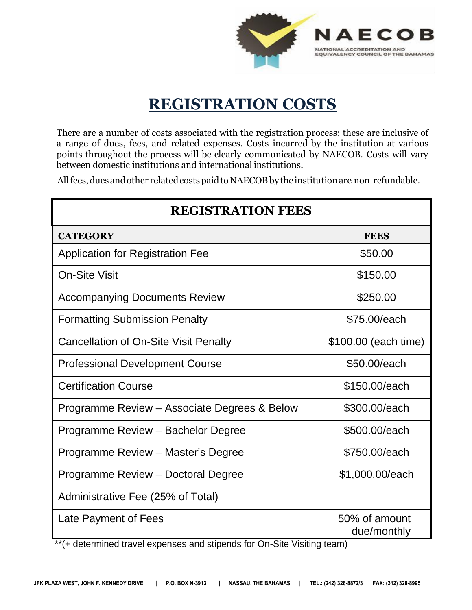

## **REGISTRATION COSTS**

There are a number of costs associated with the registration process; these are inclusive of a range of dues, fees, and related expenses. Costs incurred by the institution at various points throughout the process will be clearly communicated by NAECOB. Costs will vary between domestic institutions and international institutions.

All fees, dues and other related costs paid to NAECOB by the institution are non-refundable.

| <b>REGISTRATION FEES</b>                     |                              |  |
|----------------------------------------------|------------------------------|--|
| <b>CATEGORY</b>                              | <b>FEES</b>                  |  |
| <b>Application for Registration Fee</b>      | \$50.00                      |  |
| <b>On-Site Visit</b>                         | \$150.00                     |  |
| <b>Accompanying Documents Review</b>         | \$250.00                     |  |
| <b>Formatting Submission Penalty</b>         | \$75,00/each                 |  |
| Cancellation of On-Site Visit Penalty        | \$100.00 (each time)         |  |
| <b>Professional Development Course</b>       | \$50.00/each                 |  |
| <b>Certification Course</b>                  | \$150.00/each                |  |
| Programme Review - Associate Degrees & Below | \$300,00/each                |  |
| Programme Review - Bachelor Degree           | \$500.00/each                |  |
| Programme Review - Master's Degree           | \$750.00/each                |  |
| Programme Review - Doctoral Degree           | \$1,000.00/each              |  |
| Administrative Fee (25% of Total)            |                              |  |
| Late Payment of Fees                         | 50% of amount<br>due/monthly |  |

\*\*(+ determined travel expenses and stipends for On-Site Visiting team)